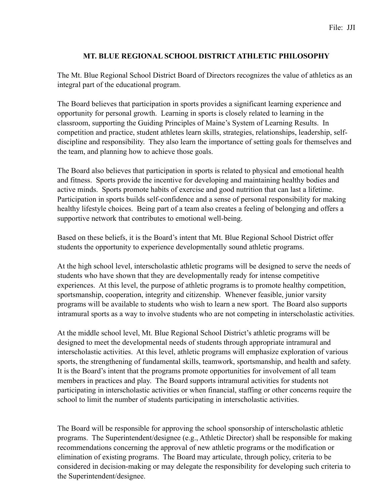## **MT. BLUE REGIONAL SCHOOL DISTRICT ATHLETIC PHILOSOPHY**

The Mt. Blue Regional School District Board of Directors recognizes the value of athletics as an integral part of the educational program.

The Board believes that participation in sports provides a significant learning experience and opportunity for personal growth. Learning in sports is closely related to learning in the classroom, supporting the Guiding Principles of Maine's System of Learning Results. In competition and practice, student athletes learn skills, strategies, relationships, leadership, selfdiscipline and responsibility. They also learn the importance of setting goals for themselves and the team, and planning how to achieve those goals.

The Board also believes that participation in sports is related to physical and emotional health and fitness. Sports provide the incentive for developing and maintaining healthy bodies and active minds. Sports promote habits of exercise and good nutrition that can last a lifetime. Participation in sports builds self-confidence and a sense of personal responsibility for making healthy lifestyle choices. Being part of a team also creates a feeling of belonging and offers a supportive network that contributes to emotional well-being.

Based on these beliefs, it is the Board's intent that Mt. Blue Regional School District offer students the opportunity to experience developmentally sound athletic programs.

At the high school level, interscholastic athletic programs will be designed to serve the needs of students who have shown that they are developmentally ready for intense competitive experiences. At this level, the purpose of athletic programs is to promote healthy competition, sportsmanship, cooperation, integrity and citizenship. Whenever feasible, junior varsity programs will be available to students who wish to learn a new sport. The Board also supports intramural sports as a way to involve students who are not competing in interscholastic activities.

At the middle school level, Mt. Blue Regional School District's athletic programs will be designed to meet the developmental needs of students through appropriate intramural and interscholastic activities. At this level, athletic programs will emphasize exploration of various sports, the strengthening of fundamental skills, teamwork, sportsmanship, and health and safety. It is the Board's intent that the programs promote opportunities for involvement of all team members in practices and play. The Board supports intramural activities for students not participating in interscholastic activities or when financial, staffing or other concerns require the school to limit the number of students participating in interscholastic activities.

The Board will be responsible for approving the school sponsorship of interscholastic athletic programs. The Superintendent/designee (e.g., Athletic Director) shall be responsible for making recommendations concerning the approval of new athletic programs or the modification or elimination of existing programs. The Board may articulate, through policy, criteria to be considered in decision-making or may delegate the responsibility for developing such criteria to the Superintendent/designee.